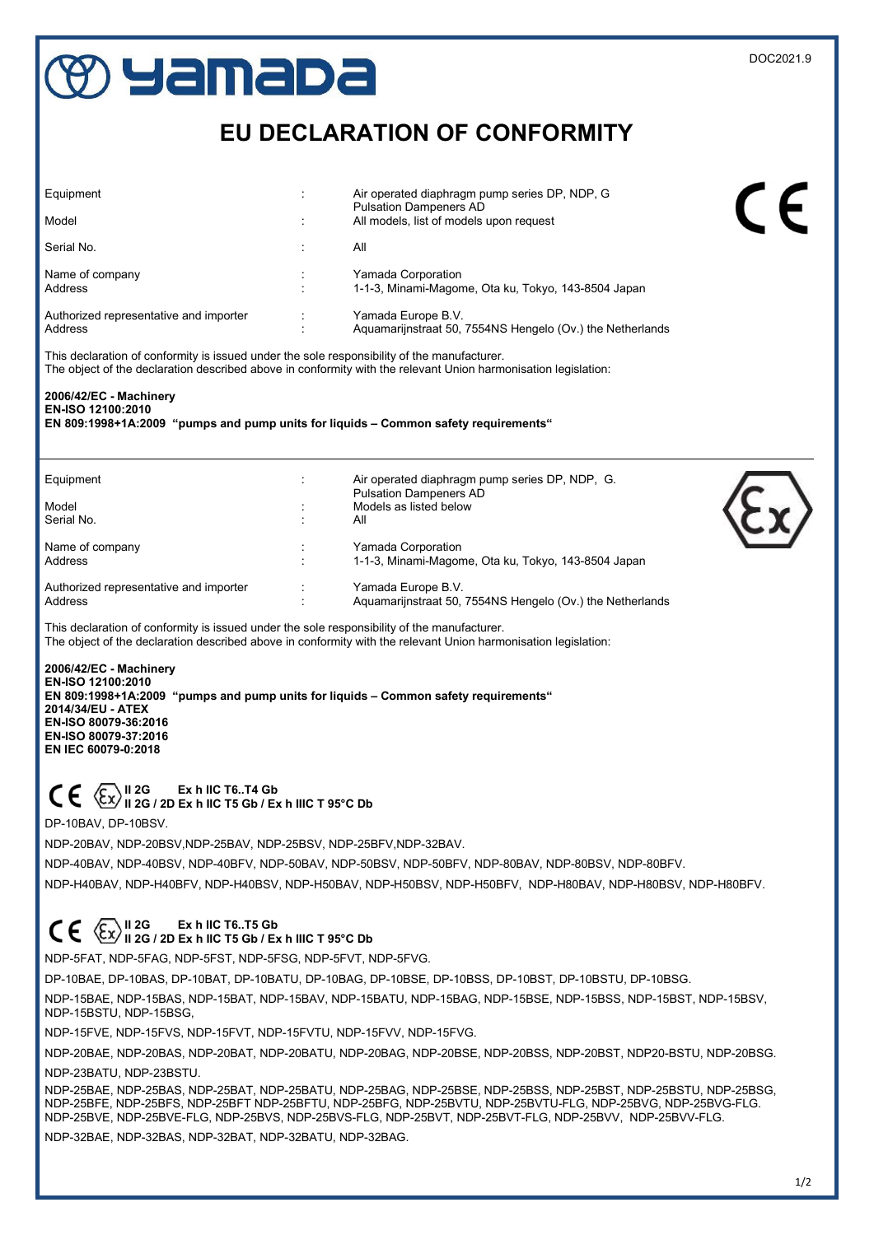## **Uamapa di Pamapa di Pamapa di Pamapa di Pamapa di Pamapa di Pamapa di Pamapa di Pamapa di Pamapa di Pamapa di** EU DECLARATION OF CONFORMITY Equipment : Air operated diaphragm pump series DP, NDP, G Pulsation Dampeners AD Model **Model CONFIDENTIAL CONFIDENT**  $\cdot$  All models, list of models upon request Serial No. **All** Name of company **interest and Company** the Second State of Company and Parada Corporation Address : 1-1-3, Minami-Magome, Ota ku, Tokyo, 143-8504 Japan Authorized representative and importer : Yamada Europe B.V. Address : Aquamarijnstraat 50, 7554NS Hengelo (Ov.) the Netherlands This declaration of conformity is issued under the sole responsibility of the manufacturer. The object of the declaration described above in conformity with the relevant Union harmonisation legislation: 2006/42/EC - Machinery EN-ISO 12100:2010 EN 809:1998+1A:2009 "pumps and pump units for liquids – Common safety requirements" Equipment : Air operated diaphragm pump series DP, NDP, G. Pulsation Dampeners AD Model **Model Model Models** as listed below Serial No. : All Name of company interests and the Company interests are a Yamada Corporation Address **1-1-3, Minami-Magome, Ota ku, Tokyo, 143-8504 Japan** 2014, 2016 Authorized representative and importer **1998** Yamada Europe B.V.<br>Address **Authorized Representative and importer CON** Aquamarijnstraat 50, 7554NS Hengelo (Ov.) the Netherlands This declaration of conformity is issued under the sole responsibility of the manufacturer. The object of the declaration described above in conformity with the relevant Union harmonisation legislation: 2006/42/EC - Machinery EN-ISO 12100:2010

 EN 809:1998+1A:2009 "pumps and pump units for liquids – Common safety requirements" 2014/34/EU - ATEX EN-ISO 80079-36:2016 EN-ISO 80079-37:2016 EN IEC 60079-0:2018

## II 2G Ex h IIC T6..T4 Gb II 2G / 2D Ex h IIC T5 Gb / Ex h IIIC T 95°C Db

DP-10BAV, DP-10BSV.

NDP-20BAV, NDP-20BSV,NDP-25BAV, NDP-25BSV, NDP-25BFV,NDP-32BAV.

NDP-40BAV, NDP-40BSV, NDP-40BFV, NDP-50BAV, NDP-50BSV, NDP-50BFV, NDP-80BAV, NDP-80BSV, NDP-80BFV.

NDP-H40BAV, NDP-H40BFV, NDP-H40BSV, NDP-H50BAV, NDP-H50BSV, NDP-H50BFV, NDP-H80BAV, NDP-H80BSV, NDP-H80BFV.

## II 2G Ex h IIC T6..T5 Gb II 2G / 2D Ex h IIC T5 Gb / Ex h IIIC T 95°C Db

NDP-5FAT, NDP-5FAG, NDP-5FST, NDP-5FSG, NDP-5FVT, NDP-5FVG.

DP-10BAE, DP-10BAS, DP-10BAT, DP-10BATU, DP-10BAG, DP-10BSE, DP-10BSS, DP-10BST, DP-10BSTU, DP-10BSG.

 NDP-15BAE, NDP-15BAS, NDP-15BAT, NDP-15BAV, NDP-15BATU, NDP-15BAG, NDP-15BSE, NDP-15BSS, NDP-15BST, NDP-15BSV, NDP-15BSTU, NDP-15BSG,

NDP-15FVE, NDP-15FVS, NDP-15FVT, NDP-15FVTU, NDP-15FVV, NDP-15FVG.

 NDP-20BAE, NDP-20BAS, NDP-20BAT, NDP-20BATU, NDP-20BAG, NDP-20BSE, NDP-20BSS, NDP-20BST, NDP20-BSTU, NDP-20BSG. NDP-23BATU, NDP-23BSTU.

 NDP-25BAE, NDP-25BAS, NDP-25BAT, NDP-25BATU, NDP-25BAG, NDP-25BSE, NDP-25BSS, NDP-25BST, NDP-25BSTU, NDP-25BSG, NDP-25BFE, NDP-25BFS, NDP-25BFT NDP-25BFTU, NDP-25BFG, NDP-25BVTU, NDP-25BVTU-FLG, NDP-25BVG, NDP-25BVG-FLG. NDP-25BVE, NDP-25BVE-FLG, NDP-25BVS, NDP-25BVS-FLG, NDP-25BVT, NDP-25BVT-FLG, NDP-25BVV, NDP-25BVV-FLG.

NDP-32BAE, NDP-32BAS, NDP-32BAT, NDP-32BATU, NDP-32BAG.